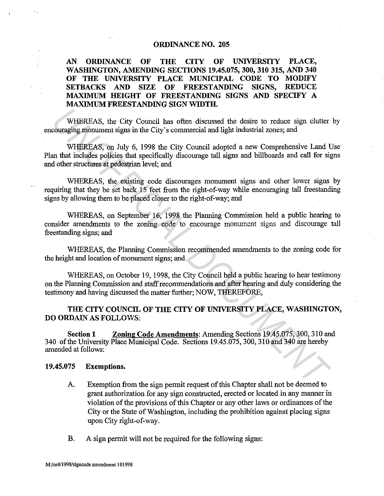## ORDINANCE NO. 205

# AN ORDINANCE OF THE CITY OF UNIVERSITY PLACE, WASHINGTON, AMENDING SECTIONS 19.45.075, 300, 310 315, AND 340 OF THE UNIVERSITY PLACE MUNICIPAL CODE TO MODIFY SETBACKS AND SIZE OF FREESTANDING SIGNS, REDUCE MAXIMUM HEIGHT OF FREESTANDING SIGNS AND SPECIFY A MAXIMUM FREESTANDING SIGN WIDTH.

WHEREAS, the City Council has often discussed the desire to reduce sign clutter by encouraging monument signs in the City's commercial and light industrial zones; and

WHEREAS, on July 6, 1998 the City Council adopted a new Comprehensive Land Use Plan that includes policies that specifically discourage tall signs and billboards and call for signs and other structures at pedestrian level; and WHEREAS, the City Council has often discussed the desire to reduce sign clutter<br>couraging momment signs in the City's commercial and light industrial zones; and<br>WHEREAS, on July 6, 1998 the City Council adopted a new Compr

WHEREAS, the existing code discourages monument signs and other lower signs by requiring that they be set back 15 feet from the right-of-way while encouraging tall freestanding signs by allowing them to be placed closer to the right-of-way; and

WHEREAS, on September 16, 1998 the Planning Commission held a public hearing to consider amendments to the zoning code to encourage monument signs and discourage tall freestanding signs; and

WHEREAS, the Planning Commission recommended amendments to the zoning code for the height and location of monument signs; and

WHEREAS, on October 19, 1998, the City Council held a public hearing to hear testimony on the Planning Commission and staff recommendations and after hearing and duly considering the testimony and having discussed the matter further; NOW, THEREFORE,

THE CITY COUNCIL OF THE CITY OF UNIVERSITY PLACE, WASHINGTON, DO ORDAIN AS FOLLOWS:

Section 1 Zoning Code Amendments: Amending Sections 19.45.075, 300, 310 and 340 of the University Place Municipal Code. Sections 19.45.075, 300, 310 and 340 are hereby amended at follows:

## 19.45.075 Exemptions.

- A. Exemption from the sign permit request of this Chapter shall not be deemed to grant authorization for any sign constructed, erected or located in any manner in violation of the provisions of this Chapter or any other laws or ordinances of the City or the State of Washington, including the prohibition against placing signs upon City right-of-way.
- B. A sign permit will not be required for the following signs: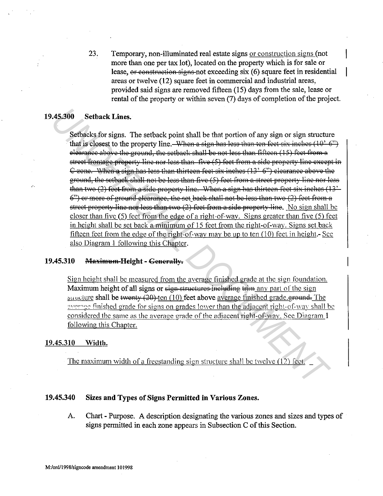23. Temporary, non-illuminated real estate signs or construction signs (not more than one per tax lot), located on the property which is for sale or lease, or construction signs not exceeding six (6) square feet in residential areas or twelve (12) square feet in commercial and industrial areas, provided said signs are removed fifteen (15) days from the sale, lease or rental of the property or within seven (7) days of completion of the project.

#### 19.45.300 **Setback Lines.**

Setbacks for signs. The setback point shall be that portion of any sign or sign structure that is closest to the property line. When a sign has less than ten feet six inches  $(10^2, 6^2)$ elearance above the ground, the setback shall be not less than fifteen (15) feet from a street frontage property line nor less than five (5) feet from a side property line except in C zone. When a sign has less than thirteen feet six inches (13' 6") clearance above the ground, the setback shall not be less than five (5) feet from a street property line nor less than two (2) feet from a side property line. When a sign has thirteen feet six inches (13' 6") or more of ground clearance, the set back shall not be less than two (2) feet from a street property line nor less than two (2) feet from a side property line. No sign shall be closer than five (5) feet from the edge of a right-of-way. Signs greater than five (5) feet in height shall be set back a minimum of 15 feet from the right-of-way. Signs set back fifteen feet from the edge of the right-of-way may be up to ten (10) feet in height.- See also Diagram 1 following this Chapter.

### 19.45.310 Maximum-Height - Generally.

Sign height shall be measured from the average finished grade at the sign foundation. Maximum height of all signs or sign structures including trim any part of the sign su ucture shall be twenty  $(20)$  ten  $(10)$  feet above average finished grade. ground. The average finished grade for signs on grades lower than the adjacent right-of-way shall be considered the same as the average grade of the adjacent right-of-way. See Diagram 1 following this Chapter.

#### 19,45.310 Width.

The maximum width of a freestanding sign structure shall be twelve (12) feet.

### 19.45.340 Sizes and Types of Signs Permitted in Various Zones.

A. Chart - Purpose. A description designating the various zones and sizes and types of signs permitted in each zone appears in Subsection C of this Section.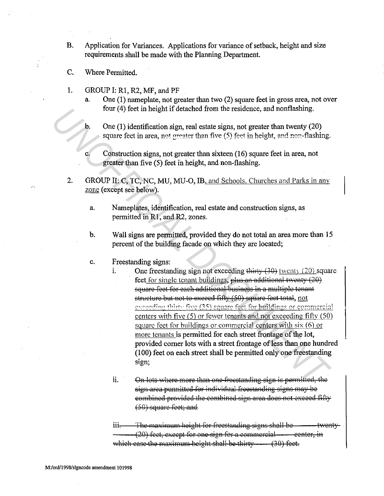- $\mathbf{B}$ . Application for Variances. Applications for variance of setback, height and size requirements shall be made with the Planning Department.
- C. Where Permitted.

 $\mathbf{c}$ .

- $\mathbf{1}$ . GROUP I: R1, R2, MF, and PF
	- One (1) nameplate, not greater than two (2) square feet in gross area, not over  $\mathbf{a}$ four (4) feet in height if detached from the residence, and nonflashing.
	- $\mathbf{b}$ . One (1) identification sign, real estate signs, not greater than twenty (20) square feet in area, not greater than five (5) feet in height, and non-flashing.
		- Construction signs, not greater than sixteen  $(16)$  square feet in area, not greater than five (5) feet in height, and non-flashing.
- 2. GROUP II: C, TC, NC, MU, MU-O, IB, and Schools, Churches and Parks in any zone (except see below).
	- Nameplates, identification, real estate and construction signs, as  $\overline{a}$ . permitted in R1, and R2, zones.
	- Wall signs are permitted, provided they do not total an area more than 15  $\mathbf b$ . percent of the building facade on which they are located;
	- Freestanding signs: c.

 $\mathbf{i}$ .

- One freestanding sign not exceeding thirty  $(30)$  (wenty  $(20)$ ) square feet for single tenant buildings, plus an additional twenty (20) square feet for each additional business in a multiple tenant structure but not to exceed fifty (50) square feet total, not exceeding thirty five (35) square feet for buildings or commercial centers with five (5) or fewer tenants and not exceeding fifty (50) square feet for buildings or commercial centers with  $six(6)$  or more tenants is permitted for each street frontage of the lot, provided corner lots with a street frontage of less than one hundred (100) feet on each street shall be permitted only one freestanding sign:
- ii. On lots where more than one freestanding sign is permitted, the sign area permitted for individual freestanding signs may be combined provided the combined sign area does not exceed fifty (50) square feet; and

The maximum height for freestanding signs shall be  $11i$ twenty-(20) feet, except for one sign for a commercial — center, in which case the maximum height shall be thirty  $(30)$  feet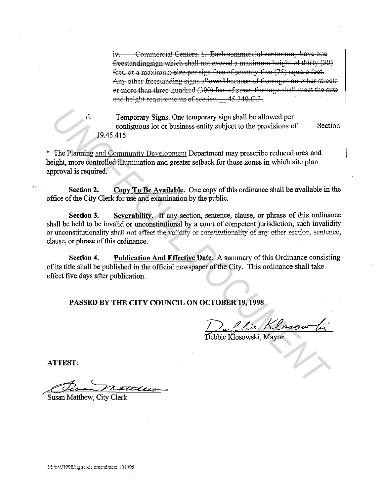Commercial Centers. 1. Each commercial center may have one  $iv$ freestandingsign which shall not exceed a maximum height of thirty (30) feet, or a maximum size per sign face of seventy five (75) square feet. Any other freestanding signs allowed because of frontages on other streets or more than three hundred (300) feet of street frontage shall meet the size and height requirements of section 45.340.C.3.

Temporary Signs. One temporary sign shall be allowed per contiguous lot or business entity subject to the provisions of Section 19.45.415

\* The Planning and Community Development Department may prescribe reduced area and height, more controlled illumination and greater setback for those zones in which site plan approval is required.

Copy To Be Available. One copy of this ordinance shall be available in the Section 2. office of the City Clerk for use and examination by the public.

Severability. If any section, sentence, clause, or phrase of this ordinance Section 3. shall be held to be invalid or unconstitutional by a court of competent jurisdiction, such invalidity or unconstitutionality shall not affect the validity or constitutionality of any other section, sentence, clause, or phrase of this ordinance.

Publication And Effective Date. A summary of this Ordinance consisting. Section 4. of its title shall be published in the official newspaper of the City. This ordinance shall take effect five days after publication.

PASSED BY THE CITY COUNCIL ON OCTOBER 19, 1998

<u>La Clie Klosow</u><br>Obje Klosowski, Mayor

**ATTEST:** 

Susan Matthew, City Clerk

 $\mathbf d$ .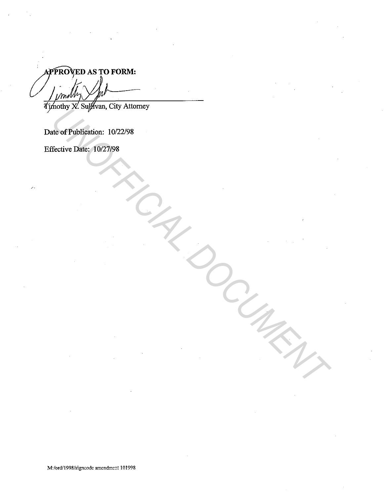APPROVED AS TO FORM:

Date of Publication: 10/22/98 North Captain, C.U., North Captain, C.U., C.U., North Captain, C.U., North Captain, U.S. 2019<br>Hective Date: 19027/98<br>The Concert Date: 19027/98<br>Captain Concert Date: 19027/98<br>Captain Concert Date: 1902/1908

Effective Date: 10/27/98